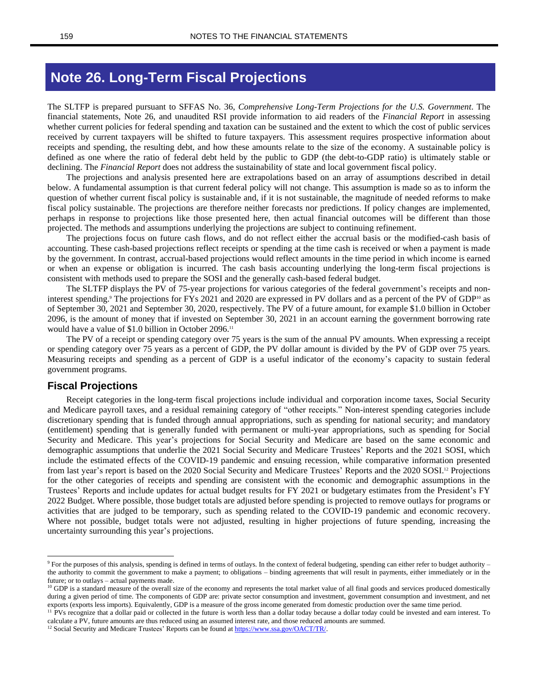# **Note 26. Long-Term Fiscal Projections**

The SLTFP is prepared pursuant to SFFAS No. 36, *Comprehensive Long-Term Projections for the U.S. Government*. The financial statements, Note 26, and unaudited RSI provide information to aid readers of the *Financial Report* in assessing whether current policies for federal spending and taxation can be sustained and the extent to which the cost of public services received by current taxpayers will be shifted to future taxpayers. This assessment requires prospective information about receipts and spending, the resulting debt, and how these amounts relate to the size of the economy. A sustainable policy is defined as one where the ratio of federal debt held by the public to GDP (the debt-to-GDP ratio) is ultimately stable or declining. The *Financial Report* does not address the sustainability of state and local government fiscal policy.

The projections and analysis presented here are extrapolations based on an array of assumptions described in detail below. A fundamental assumption is that current federal policy will not change. This assumption is made so as to inform the question of whether current fiscal policy is sustainable and, if it is not sustainable, the magnitude of needed reforms to make fiscal policy sustainable. The projections are therefore neither forecasts nor predictions. If policy changes are implemented, perhaps in response to projections like those presented here, then actual financial outcomes will be different than those projected. The methods and assumptions underlying the projections are subject to continuing refinement.

The projections focus on future cash flows, and do not reflect either the accrual basis or the modified-cash basis of accounting. These cash-based projections reflect receipts or spending at the time cash is received or when a payment is made by the government. In contrast, accrual-based projections would reflect amounts in the time period in which income is earned or when an expense or obligation is incurred. The cash basis accounting underlying the long-term fiscal projections is consistent with methods used to prepare the SOSI and the generally cash-based federal budget.

The SLTFP displays the PV of 75-year projections for various categories of the federal government's receipts and noninterest spending.<sup>9</sup> The projections for FYs 2021 and 2020 are expressed in PV dollars and as a percent of the PV of GDP<sup>10</sup> as of September 30, 2021 and September 30, 2020, respectively. The PV of a future amount, for example \$1.0 billion in October 2096, is the amount of money that if invested on September 30, 2021 in an account earning the government borrowing rate would have a value of \$1.0 billion in October 2096. 11

The PV of a receipt or spending category over 75 years is the sum of the annual PV amounts. When expressing a receipt or spending category over 75 years as a percent of GDP, the PV dollar amount is divided by the PV of GDP over 75 years. Measuring receipts and spending as a percent of GDP is a useful indicator of the economy's capacity to sustain federal government programs.

## **Fiscal Projections**

Receipt categories in the long-term fiscal projections include individual and corporation income taxes, Social Security and Medicare payroll taxes, and a residual remaining category of "other receipts." Non-interest spending categories include discretionary spending that is funded through annual appropriations, such as spending for national security; and mandatory (entitlement) spending that is generally funded with permanent or multi-year appropriations, such as spending for Social Security and Medicare. This year's projections for Social Security and Medicare are based on the same economic and demographic assumptions that underlie the 2021 Social Security and Medicare Trustees' Reports and the 2021 SOSI, which include the estimated effects of the COVID-19 pandemic and ensuing recession, while comparative information presented from last year's report is based on the 2020 Social Security and Medicare Trustees' Reports and the 2020 SOSI.<sup>12</sup> Projections for the other categories of receipts and spending are consistent with the economic and demographic assumptions in the Trustees' Reports and include updates for actual budget results for FY 2021 or budgetary estimates from the President's FY 2022 Budget. Where possible, those budget totals are adjusted before spending is projected to remove outlays for programs or activities that are judged to be temporary, such as spending related to the COVID-19 pandemic and economic recovery. Where not possible, budget totals were not adjusted, resulting in higher projections of future spending, increasing the uncertainty surrounding this year's projections.

<sup>12</sup> Social Security and Medicare Trustees' Reports can be found at [https://www.ssa.gov/OACT/TR/.](https://www.ssa.gov/OACT/TR/)

<sup>&</sup>lt;sup>9</sup> For the purposes of this analysis, spending is defined in terms of outlays. In the context of federal budgeting, spending can either refer to budget authority – the authority to commit the government to make a payment; to obligations – binding agreements that will result in payments, either immediately or in the future; or to outlays – actual payments made.

<sup>&</sup>lt;sup>10</sup> GDP is a standard measure of the overall size of the economy and represents the total market value of all final goods and services produced domestically during a given period of time. The components of GDP are: private sector consumption and investment, government consumption and investment, and net exports (exports less imports). Equivalently, GDP is a measure of the gross income generated from domestic production over the same time period.

<sup>&</sup>lt;sup>11</sup> PVs recognize that a dollar paid or collected in the future is worth less than a dollar today because a dollar today could be invested and earn interest. To calculate a PV, future amounts are thus reduced using an assumed interest rate, and those reduced amounts are summed.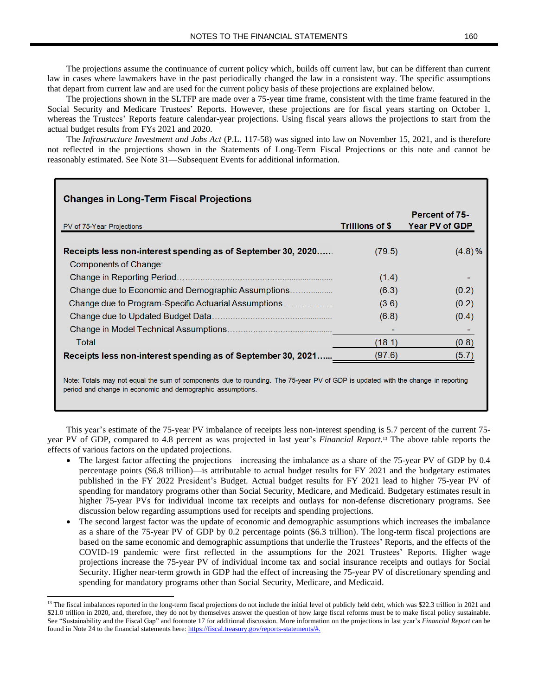The projections assume the continuance of current policy which, builds off current law, but can be different than current law in cases where lawmakers have in the past periodically changed the law in a consistent way. The specific assumptions that depart from current law and are used for the current policy basis of these projections are explained below.

The projections shown in the SLTFP are made over a 75-year time frame, consistent with the time frame featured in the Social Security and Medicare Trustees' Reports. However, these projections are for fiscal years starting on October 1, whereas the Trustees' Reports feature calendar-year projections. Using fiscal years allows the projections to start from the actual budget results from FYs 2021 and 2020.

The *Infrastructure Investment and Jobs Act* (P.L. 117-58) was signed into law on November 15, 2021, and is therefore not reflected in the projections shown in the Statements of Long-Term Fiscal Projections or this note and cannot be reasonably estimated. See Note 31—Subsequent Events for additional information.

| <b>Changes in Long-Term Fiscal Projections</b>               |                        |                                                |
|--------------------------------------------------------------|------------------------|------------------------------------------------|
| PV of 75-Year Projections                                    | <b>Trillions of \$</b> | <b>Percent of 75-</b><br><b>Year PV of GDP</b> |
| Receipts less non-interest spending as of September 30, 2020 | (79.5)                 | (4.8)%                                         |
| Components of Change:                                        |                        |                                                |
|                                                              | (1.4)                  |                                                |
| Change due to Economic and Demographic Assumptions           | (6.3)                  | (0.2)                                          |
| Change due to Program-Specific Actuarial Assumptions         | (3.6)                  | (0.2)                                          |
|                                                              | (6.8)                  | (0.4)                                          |
|                                                              |                        |                                                |
| Total                                                        | (18.1)                 | (0.8)                                          |
| Receipts less non-interest spending as of September 30, 2021 | (97.6)                 |                                                |
|                                                              |                        |                                                |

Note: Totals may not equal the sum of components due to rounding. The 75-year PV of GDP is updated with the change in reporting period and change in economic and demographic assumptions.

This year's estimate of the 75-year PV imbalance of receipts less non-interest spending is 5.7 percent of the current 75 year PV of GDP, compared to 4.8 percent as was projected in last year's *Financial Report*. <sup>13</sup> The above table reports the effects of various factors on the updated projections.

- The largest factor affecting the projections—increasing the imbalance as a share of the 75-year PV of GDP by 0.4 percentage points (\$6.8 trillion)—is attributable to actual budget results for FY 2021 and the budgetary estimates published in the FY 2022 President's Budget. Actual budget results for FY 2021 lead to higher 75-year PV of spending for mandatory programs other than Social Security, Medicare, and Medicaid. Budgetary estimates result in higher 75-year PVs for individual income tax receipts and outlays for non-defense discretionary programs. See discussion below regarding assumptions used for receipts and spending projections.
- The second largest factor was the update of economic and demographic assumptions which increases the imbalance as a share of the 75-year PV of GDP by 0.2 percentage points (\$6.3 trillion). The long-term fiscal projections are based on the same economic and demographic assumptions that underlie the Trustees' Reports, and the effects of the COVID-19 pandemic were first reflected in the assumptions for the 2021 Trustees' Reports. Higher wage projections increase the 75-year PV of individual income tax and social insurance receipts and outlays for Social Security. Higher near-term growth in GDP had the effect of increasing the 75-year PV of discretionary spending and spending for mandatory programs other than Social Security, Medicare, and Medicaid.

<sup>&</sup>lt;sup>13</sup> The fiscal imbalances reported in the long-term fiscal projections do not include the initial level of publicly held debt, which was \$22.3 trillion in 2021 and \$21.0 trillion in 2020, and, therefore, they do not by themselves answer the question of how large fiscal reforms must be to make fiscal policy sustainable. See "Sustainability and the Fiscal Gap" and footnote 17 for additional discussion. More information on the projections in last year's *Financial Report* can be found in Note 24 to the financial statements here: [https://fiscal.treasury.gov/reports-statements/#.](https://fiscal.treasury.gov/reports-statements/)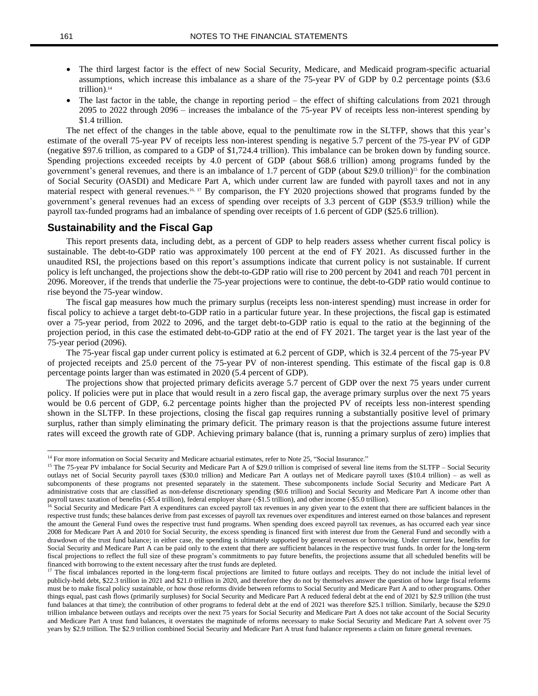- The third largest factor is the effect of new Social Security, Medicare, and Medicaid program-specific actuarial assumptions, which increase this imbalance as a share of the 75-year PV of GDP by 0.2 percentage points (\$3.6 trillion). 14
- The last factor in the table, the change in reporting period the effect of shifting calculations from 2021 through 2095 to 2022 through 2096 – increases the imbalance of the 75-year PV of receipts less non-interest spending by \$1.4 trillion.

The net effect of the changes in the table above, equal to the penultimate row in the SLTFP, shows that this year's estimate of the overall 75-year PV of receipts less non-interest spending is negative 5.7 percent of the 75-year PV of GDP (negative \$97.6 trillion, as compared to a GDP of \$1,724.4 trillion). This imbalance can be broken down by funding source. Spending projections exceeded receipts by 4.0 percent of GDP (about \$68.6 trillion) among programs funded by the government's general revenues, and there is an imbalance of 1.7 percent of GDP (about \$29.0 trillion)<sup>15</sup> for the combination of Social Security (OASDI) and Medicare Part A, which under current law are funded with payroll taxes and not in any material respect with general revenues.16, <sup>17</sup> By comparison, the FY 2020 projections showed that programs funded by the government's general revenues had an excess of spending over receipts of 3.3 percent of GDP (\$53.9 trillion) while the payroll tax-funded programs had an imbalance of spending over receipts of 1.6 percent of GDP (\$25.6 trillion).

#### **Sustainability and the Fiscal Gap**

This report presents data, including debt, as a percent of GDP to help readers assess whether current fiscal policy is sustainable. The debt-to-GDP ratio was approximately 100 percent at the end of FY 2021. As discussed further in the unaudited RSI, the projections based on this report's assumptions indicate that current policy is not sustainable. If current policy is left unchanged, the projections show the debt-to-GDP ratio will rise to 200 percent by 2041 and reach 701 percent in 2096. Moreover, if the trends that underlie the 75-year projections were to continue, the debt-to-GDP ratio would continue to rise beyond the 75-year window.

The fiscal gap measures how much the primary surplus (receipts less non-interest spending) must increase in order for fiscal policy to achieve a target debt-to-GDP ratio in a particular future year. In these projections, the fiscal gap is estimated over a 75-year period, from 2022 to 2096, and the target debt-to-GDP ratio is equal to the ratio at the beginning of the projection period, in this case the estimated debt-to-GDP ratio at the end of FY 2021. The target year is the last year of the 75-year period (2096).

The 75-year fiscal gap under current policy is estimated at 6.2 percent of GDP, which is 32.4 percent of the 75-year PV of projected receipts and 25.0 percent of the 75-year PV of non-interest spending. This estimate of the fiscal gap is 0.8 percentage points larger than was estimated in 2020 (5.4 percent of GDP).

The projections show that projected primary deficits average 5.7 percent of GDP over the next 75 years under current policy. If policies were put in place that would result in a zero fiscal gap, the average primary surplus over the next 75 years would be 0.6 percent of GDP, 6.2 percentage points higher than the projected PV of receipts less non-interest spending shown in the SLTFP. In these projections, closing the fiscal gap requires running a substantially positive level of primary surplus, rather than simply eliminating the primary deficit. The primary reason is that the projections assume future interest rates will exceed the growth rate of GDP. Achieving primary balance (that is, running a primary surplus of zero) implies that

<sup>&</sup>lt;sup>14</sup> For more information on Social Security and Medicare actuarial estimates, refer to Note 25, "Social Insurance."

<sup>&</sup>lt;sup>15</sup> The 75-year PV imbalance for Social Security and Medicare Part A of \$29.0 trillion is comprised of several line items from the SLTFP – Social Security outlays net of Social Security payroll taxes (\$30.0 trillion) and Medicare Part A outlays net of Medicare payroll taxes (\$10.4 trillion) – as well as subcomponents of these programs not presented separately in the statement. These subcomponents include Social Security and Medicare Part A administrative costs that are classified as non-defense discretionary spending (\$0.6 trillion) and Social Security and Medicare Part A income other than payroll taxes: taxation of benefits (-\$5.4 trillion), federal employer share (-\$1.5 trillion), and other income (-\$5.0 trillion).

<sup>&</sup>lt;sup>16</sup> Social Security and Medicare Part A expenditures can exceed payroll tax revenues in any given year to the extent that there are sufficient balances in the respective trust funds; these balances derive from past excesses of payroll tax revenues over expenditures and interest earned on those balances and represent the amount the General Fund owes the respective trust fund programs. When spending does exceed payroll tax revenues, as has occurred each year since 2008 for Medicare Part A and 2010 for Social Security, the excess spending is financed first with interest due from the General Fund and secondly with a drawdown of the trust fund balance; in either case, the spending is ultimately supported by general revenues or borrowing. Under current law, benefits for Social Security and Medicare Part A can be paid only to the extent that there are sufficient balances in the respective trust funds. In order for the long-term fiscal projections to reflect the full size of these program's commitments to pay future benefits, the projections assume that all scheduled benefits will be financed with borrowing to the extent necessary after the trust funds are depleted.

<sup>&</sup>lt;sup>17</sup> The fiscal imbalances reported in the long-term fiscal projections are limited to future outlays and receipts. They do not include the initial level of publicly-held debt, \$22.3 trillion in 2021 and \$21.0 trillion in 2020, and therefore they do not by themselves answer the question of how large fiscal reforms must be to make fiscal policy sustainable, or how those reforms divide between reforms to Social Security and Medicare Part A and to other programs. Other things equal, past cash flows (primarily surpluses) for Social Security and Medicare Part A reduced federal debt at the end of 2021 by \$2.9 trillion (the trust fund balances at that time); the contribution of other programs to federal debt at the end of 2021 was therefore \$25.1 trillion. Similarly, because the \$29.0 trillion imbalance between outlays and receipts over the next 75 years for Social Security and Medicare Part A does not take account of the Social Security and Medicare Part A trust fund balances, it overstates the magnitude of reforms necessary to make Social Security and Medicare Part A solvent over 75 years by \$2.9 trillion. The \$2.9 trillion combined Social Security and Medicare Part A trust fund balance represents a claim on future general revenues.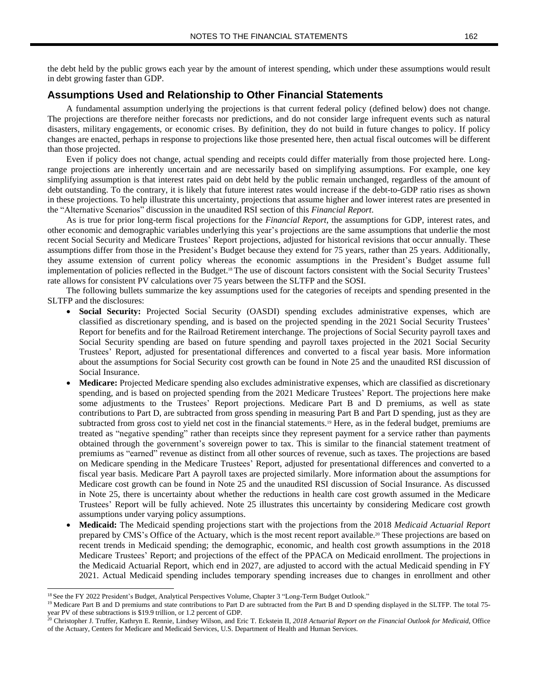## **Assumptions Used and Relationship to Other Financial Statements**

A fundamental assumption underlying the projections is that current federal policy (defined below) does not change. The projections are therefore neither forecasts nor predictions, and do not consider large infrequent events such as natural disasters, military engagements, or economic crises. By definition, they do not build in future changes to policy. If policy changes are enacted, perhaps in response to projections like those presented here, then actual fiscal outcomes will be different than those projected.

Even if policy does not change, actual spending and receipts could differ materially from those projected here. Longrange projections are inherently uncertain and are necessarily based on simplifying assumptions. For example, one key simplifying assumption is that interest rates paid on debt held by the public remain unchanged, regardless of the amount of debt outstanding. To the contrary, it is likely that future interest rates would increase if the debt-to-GDP ratio rises as shown in these projections. To help illustrate this uncertainty, projections that assume higher and lower interest rates are presented in the "Alternative Scenarios" discussion in the unaudited RSI section of this *Financial Report*.

As is true for prior long-term fiscal projections for the *Financial Report*, the assumptions for GDP, interest rates, and other economic and demographic variables underlying this year's projections are the same assumptions that underlie the most recent Social Security and Medicare Trustees' Report projections, adjusted for historical revisions that occur annually. These assumptions differ from those in the President's Budget because they extend for 75 years, rather than 25 years. Additionally, they assume extension of current policy whereas the economic assumptions in the President's Budget assume full implementation of policies reflected in the Budget.<sup>18</sup> The use of discount factors consistent with the Social Security Trustees' rate allows for consistent PV calculations over 75 years between the SLTFP and the SOSI.

The following bullets summarize the key assumptions used for the categories of receipts and spending presented in the SLTFP and the disclosures:

- **Social Security:** Projected Social Security (OASDI) spending excludes administrative expenses, which are classified as discretionary spending, and is based on the projected spending in the 2021 Social Security Trustees' Report for benefits and for the Railroad Retirement interchange. The projections of Social Security payroll taxes and Social Security spending are based on future spending and payroll taxes projected in the 2021 Social Security Trustees' Report, adjusted for presentational differences and converted to a fiscal year basis. More information about the assumptions for Social Security cost growth can be found in Note 25 and the unaudited RSI discussion of Social Insurance.
- **Medicare:** Projected Medicare spending also excludes administrative expenses, which are classified as discretionary spending, and is based on projected spending from the 2021 Medicare Trustees' Report. The projections here make some adjustments to the Trustees' Report projections. Medicare Part B and D premiums, as well as state contributions to Part D, are subtracted from gross spending in measuring Part B and Part D spending, just as they are subtracted from gross cost to yield net cost in the financial statements.<sup>19</sup> Here, as in the federal budget, premiums are treated as "negative spending" rather than receipts since they represent payment for a service rather than payments obtained through the government's sovereign power to tax. This is similar to the financial statement treatment of premiums as "earned" revenue as distinct from all other sources of revenue, such as taxes. The projections are based on Medicare spending in the Medicare Trustees' Report, adjusted for presentational differences and converted to a fiscal year basis. Medicare Part A payroll taxes are projected similarly. More information about the assumptions for Medicare cost growth can be found in Note 25 and the unaudited RSI discussion of Social Insurance. As discussed in Note 25, there is uncertainty about whether the reductions in health care cost growth assumed in the Medicare Trustees' Report will be fully achieved. Note 25 illustrates this uncertainty by considering Medicare cost growth assumptions under varying policy assumptions.
- **Medicaid:** The Medicaid spending projections start with the projections from the 2018 *Medicaid Actuarial Report* prepared by CMS's Office of the Actuary, which is the most recent report available. <sup>20</sup> These projections are based on recent trends in Medicaid spending; the demographic, economic, and health cost growth assumptions in the 2018 Medicare Trustees' Report; and projections of the effect of the PPACA on Medicaid enrollment. The projections in the Medicaid Actuarial Report, which end in 2027, are adjusted to accord with the actual Medicaid spending in FY 2021. Actual Medicaid spending includes temporary spending increases due to changes in enrollment and other

<sup>18</sup> See the FY 2022 President's Budget, Analytical Perspectives Volume, Chapter 3 "Long-Term Budget Outlook."

<sup>&</sup>lt;sup>19</sup> Medicare Part B and D premiums and state contributions to Part D are subtracted from the Part B and D spending displayed in the SLTFP. The total 75year PV of these subtractions is \$19.9 trillion, or 1.2 percent of GDP.

<sup>20</sup> Christopher J. Truffer, Kathryn E. Rennie, Lindsey Wilson, and Eric T. Eckstein II, *2018 Actuarial Report on the Financial Outlook for Medicaid*, Office of the Actuary, Centers for Medicare and Medicaid Services, U.S. Department of Health and Human Services.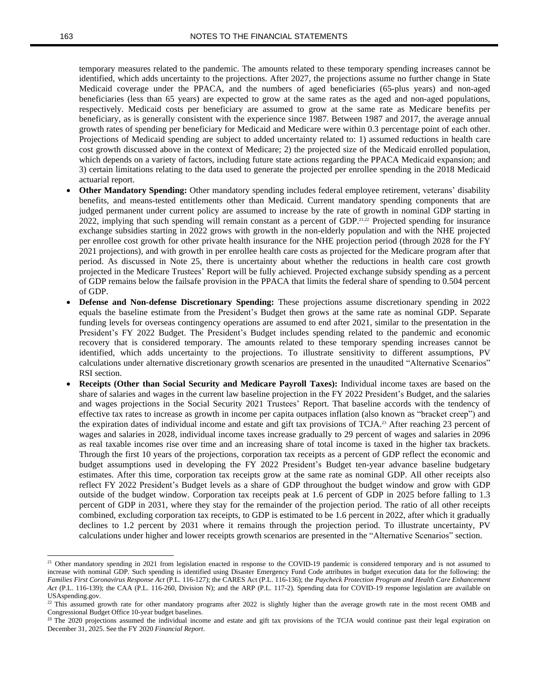temporary measures related to the pandemic. The amounts related to these temporary spending increases cannot be identified, which adds uncertainty to the projections. After 2027, the projections assume no further change in State Medicaid coverage under the PPACA, and the numbers of aged beneficiaries (65-plus years) and non-aged beneficiaries (less than 65 years) are expected to grow at the same rates as the aged and non-aged populations, respectively. Medicaid costs per beneficiary are assumed to grow at the same rate as Medicare benefits per beneficiary, as is generally consistent with the experience since 1987. Between 1987 and 2017, the average annual growth rates of spending per beneficiary for Medicaid and Medicare were within 0.3 percentage point of each other. Projections of Medicaid spending are subject to added uncertainty related to: 1) assumed reductions in health care cost growth discussed above in the context of Medicare; 2) the projected size of the Medicaid enrolled population, which depends on a variety of factors, including future state actions regarding the PPACA Medicaid expansion; and 3) certain limitations relating to the data used to generate the projected per enrollee spending in the 2018 Medicaid actuarial report.

- **Other Mandatory Spending:** Other mandatory spending includes federal employee retirement, veterans' disability benefits, and means-tested entitlements other than Medicaid. Current mandatory spending components that are judged permanent under current policy are assumed to increase by the rate of growth in nominal GDP starting in 2022, implying that such spending will remain constant as a percent of GDP.<sup>21,22</sup> Projected spending for insurance exchange subsidies starting in 2022 grows with growth in the non-elderly population and with the NHE projected per enrollee cost growth for other private health insurance for the NHE projection period (through 2028 for the FY 2021 projections), and with growth in per enrollee health care costs as projected for the Medicare program after that period. As discussed in Note 25, there is uncertainty about whether the reductions in health care cost growth projected in the Medicare Trustees' Report will be fully achieved. Projected exchange subsidy spending as a percent of GDP remains below the failsafe provision in the PPACA that limits the federal share of spending to 0.504 percent of GDP.
- **Defense and Non-defense Discretionary Spending:** These projections assume discretionary spending in 2022 equals the baseline estimate from the President's Budget then grows at the same rate as nominal GDP. Separate funding levels for overseas contingency operations are assumed to end after 2021, similar to the presentation in the President's FY 2022 Budget. The President's Budget includes spending related to the pandemic and economic recovery that is considered temporary. The amounts related to these temporary spending increases cannot be identified, which adds uncertainty to the projections. To illustrate sensitivity to different assumptions, PV calculations under alternative discretionary growth scenarios are presented in the unaudited "Alternative Scenarios" RSI section.
- **Receipts (Other than Social Security and Medicare Payroll Taxes):** Individual income taxes are based on the share of salaries and wages in the current law baseline projection in the FY 2022 President's Budget, and the salaries and wages projections in the Social Security 2021 Trustees' Report. That baseline accords with the tendency of effective tax rates to increase as growth in income per capita outpaces inflation (also known as "bracket creep") and the expiration dates of individual income and estate and gift tax provisions of TCJA.<sup>23</sup> After reaching 23 percent of wages and salaries in 2028, individual income taxes increase gradually to 29 percent of wages and salaries in 2096 as real taxable incomes rise over time and an increasing share of total income is taxed in the higher tax brackets. Through the first 10 years of the projections, corporation tax receipts as a percent of GDP reflect the economic and budget assumptions used in developing the FY 2022 President's Budget ten-year advance baseline budgetary estimates. After this time, corporation tax receipts grow at the same rate as nominal GDP. All other receipts also reflect FY 2022 President's Budget levels as a share of GDP throughout the budget window and grow with GDP outside of the budget window. Corporation tax receipts peak at 1.6 percent of GDP in 2025 before falling to 1.3 percent of GDP in 2031, where they stay for the remainder of the projection period. The ratio of all other receipts combined, excluding corporation tax receipts, to GDP is estimated to be 1.6 percent in 2022, after which it gradually declines to 1.2 percent by 2031 where it remains through the projection period. To illustrate uncertainty, PV calculations under higher and lower receipts growth scenarios are presented in the "Alternative Scenarios" section.

<sup>&</sup>lt;sup>21</sup> Other mandatory spending in 2021 from legislation enacted in response to the COVID-19 pandemic is considered temporary and is not assumed to increase with nominal GDP. Such spending is identified using Disaster Emergency Fund Code attributes in budget execution data for the following: the Families First Coronavirus Response Act (P.L. 116-127); the CARES Act (P.L. 116-136); the Paycheck Protection Program and Health Care Enhancement *Act* (P.L. 116-139); the CAA (P.L. 116-260, Division N); and the ARP (P.L. 117-2). Spending data for COVID-19 response legislation are available on USAspending.gov.

<sup>&</sup>lt;sup>22</sup> This assumed growth rate for other mandatory programs after 2022 is slightly higher than the average growth rate in the most recent OMB and Congressional Budget Office 10-year budget baselines.

<sup>&</sup>lt;sup>23</sup> The 2020 projections assumed the individual income and estate and gift tax provisions of the TCJA would continue past their legal expiration on December 31, 2025. See the FY 2020 *Financial Report*.